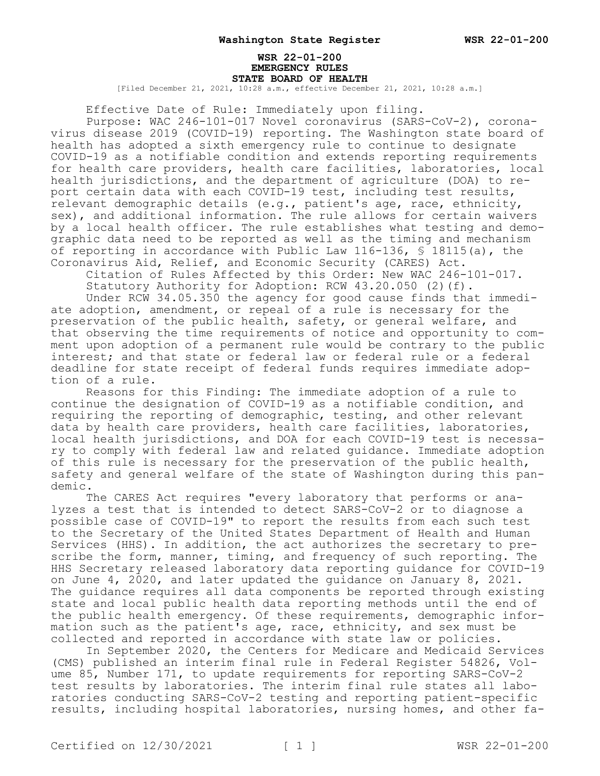#### **WSR 22-01-200 EMERGENCY RULES STATE BOARD OF HEALTH**

[Filed December 21, 2021, 10:28 a.m., effective December 21, 2021, 10:28 a.m.]

Effective Date of Rule: Immediately upon filing.

Purpose: WAC 246-101-017 Novel coronavirus (SARS-CoV-2), coronavirus disease 2019 (COVID-19) reporting. The Washington state board of health has adopted a sixth emergency rule to continue to designate COVID-19 as a notifiable condition and extends reporting requirements for health care providers, health care facilities, laboratories, local health jurisdictions, and the department of agriculture (DOA) to report certain data with each COVID-19 test, including test results, relevant demographic details (e.g., patient's age, race, ethnicity, sex), and additional information. The rule allows for certain waivers by a local health officer. The rule establishes what testing and demographic data need to be reported as well as the timing and mechanism of reporting in accordance with Public Law 116-136, § 18115(a), the Coronavirus Aid, Relief, and Economic Security (CARES) Act.

Citation of Rules Affected by this Order: New WAC 246-101-017. Statutory Authority for Adoption: RCW 43.20.050 (2)(f).

Under RCW 34.05.350 the agency for good cause finds that immediate adoption, amendment, or repeal of a rule is necessary for the preservation of the public health, safety, or general welfare, and that observing the time requirements of notice and opportunity to comment upon adoption of a permanent rule would be contrary to the public interest; and that state or federal law or federal rule or a federal deadline for state receipt of federal funds requires immediate adoption of a rule.

Reasons for this Finding: The immediate adoption of a rule to continue the designation of COVID-19 as a notifiable condition, and requiring the reporting of demographic, testing, and other relevant data by health care providers, health care facilities, laboratories, local health jurisdictions, and DOA for each COVID-19 test is necessary to comply with federal law and related guidance. Immediate adoption of this rule is necessary for the preservation of the public health, safety and general welfare of the state of Washington during this pandemic.

The CARES Act requires "every laboratory that performs or analyzes a test that is intended to detect SARS-CoV-2 or to diagnose a possible case of COVID-19" to report the results from each such test to the Secretary of the United States Department of Health and Human Services (HHS). In addition, the act authorizes the secretary to prescribe the form, manner, timing, and frequency of such reporting. The HHS Secretary released laboratory data reporting guidance for COVID-19 on June 4, 2020, and later updated the guidance on January 8, 2021. The guidance requires all data components be reported through existing state and local public health data reporting methods until the end of the public health emergency. Of these requirements, demographic information such as the patient's age, race, ethnicity, and sex must be collected and reported in accordance with state law or policies.

In September 2020, the Centers for Medicare and Medicaid Services (CMS) published an interim final rule in Federal Register 54826, Volume 85, Number 171, to update requirements for reporting SARS-CoV-2 test results by laboratories. The interim final rule states all laboratories conducting SARS-CoV-2 testing and reporting patient-specific results, including hospital laboratories, nursing homes, and other fa-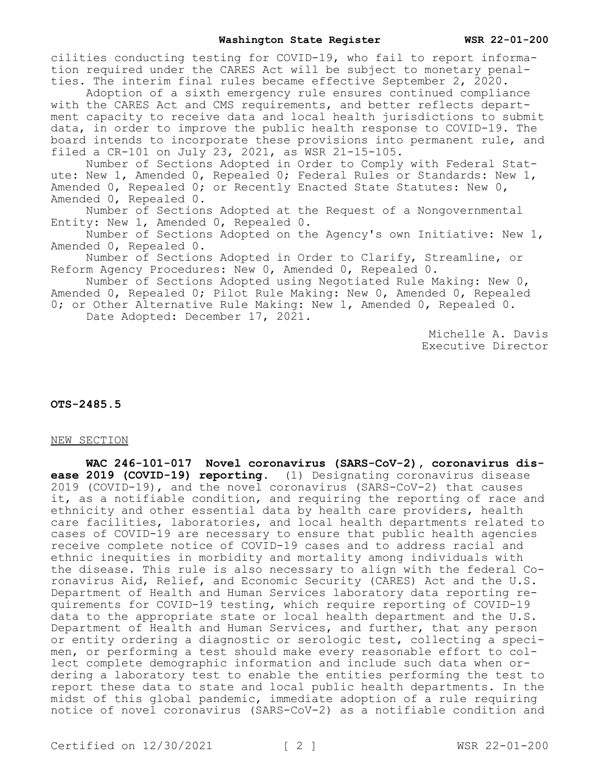cilities conducting testing for COVID-19, who fail to report information required under the CARES Act will be subject to monetary penalties. The interim final rules became effective September 2, 2020.

Adoption of a sixth emergency rule ensures continued compliance with the CARES Act and CMS requirements, and better reflects department capacity to receive data and local health jurisdictions to submit data, in order to improve the public health response to COVID-19. The board intends to incorporate these provisions into permanent rule, and filed a CR-101 on July 23, 2021, as WSR 21-15-105.

Number of Sections Adopted in Order to Comply with Federal Statute: New 1, Amended 0, Repealed 0; Federal Rules or Standards: New 1, Amended 0, Repealed 0; or Recently Enacted State Statutes: New 0, Amended 0, Repealed 0.

Number of Sections Adopted at the Request of a Nongovernmental Entity: New 1, Amended 0, Repealed 0.

Number of Sections Adopted on the Agency's own Initiative: New 1, Amended 0, Repealed 0.

Number of Sections Adopted in Order to Clarify, Streamline, or Reform Agency Procedures: New 0, Amended 0, Repealed 0.

Number of Sections Adopted using Negotiated Rule Making: New 0, Amended 0, Repealed 0; Pilot Rule Making: New 0, Amended 0, Repealed 0; or Other Alternative Rule Making: New 1, Amended 0, Repealed 0.

Date Adopted: December 17, 2021.

Michelle A. Davis Executive Director

**OTS-2485.5**

### NEW SECTION

**WAC 246-101-017 Novel coronavirus (SARS-CoV-2), coronavirus disease 2019 (COVID-19) reporting.** (1) Designating coronavirus disease 2019 (COVID-19), and the novel coronavirus (SARS-CoV-2) that causes it, as a notifiable condition, and requiring the reporting of race and ethnicity and other essential data by health care providers, health care facilities, laboratories, and local health departments related to cases of COVID-19 are necessary to ensure that public health agencies receive complete notice of COVID-19 cases and to address racial and ethnic inequities in morbidity and mortality among individuals with the disease. This rule is also necessary to align with the federal Coronavirus Aid, Relief, and Economic Security (CARES) Act and the U.S. Department of Health and Human Services laboratory data reporting requirements for COVID-19 testing, which require reporting of COVID-19 data to the appropriate state or local health department and the U.S. Department of Health and Human Services, and further, that any person or entity ordering a diagnostic or serologic test, collecting a specimen, or performing a test should make every reasonable effort to collect complete demographic information and include such data when ordering a laboratory test to enable the entities performing the test to report these data to state and local public health departments. In the midst of this global pandemic, immediate adoption of a rule requiring notice of novel coronavirus (SARS-CoV-2) as a notifiable condition and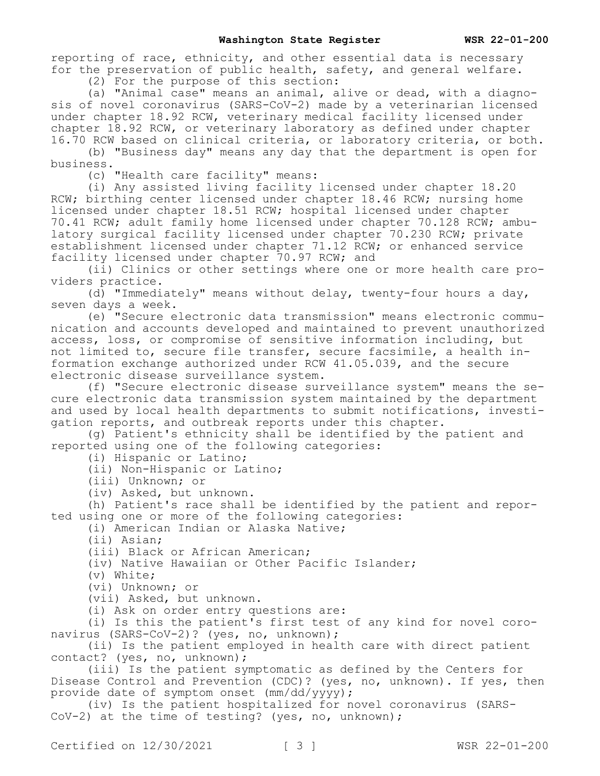reporting of race, ethnicity, and other essential data is necessary for the preservation of public health, safety, and general welfare.

(2) For the purpose of this section:

(a) "Animal case" means an animal, alive or dead, with a diagnosis of novel coronavirus (SARS-CoV-2) made by a veterinarian licensed under chapter 18.92 RCW, veterinary medical facility licensed under chapter 18.92 RCW, or veterinary laboratory as defined under chapter 16.70 RCW based on clinical criteria, or laboratory criteria, or both.

(b) "Business day" means any day that the department is open for business.

(c) "Health care facility" means:

(i) Any assisted living facility licensed under chapter 18.20 RCW; birthing center licensed under chapter 18.46 RCW; nursing home licensed under chapter 18.51 RCW; hospital licensed under chapter 70.41 RCW; adult family home licensed under chapter 70.128 RCW; ambulatory surgical facility licensed under chapter 70.230 RCW; private establishment licensed under chapter 71.12 RCW; or enhanced service facility licensed under chapter 70.97 RCW; and

(ii) Clinics or other settings where one or more health care providers practice.

(d) "Immediately" means without delay, twenty-four hours a day, seven days a week.

(e) "Secure electronic data transmission" means electronic communication and accounts developed and maintained to prevent unauthorized access, loss, or compromise of sensitive information including, but not limited to, secure file transfer, secure facsimile, a health information exchange authorized under RCW 41.05.039, and the secure electronic disease surveillance system.

(f) "Secure electronic disease surveillance system" means the secure electronic data transmission system maintained by the department and used by local health departments to submit notifications, investigation reports, and outbreak reports under this chapter.

(g) Patient's ethnicity shall be identified by the patient and reported using one of the following categories:

(i) Hispanic or Latino;

(ii) Non-Hispanic or Latino;

(iii) Unknown; or

(iv) Asked, but unknown.

(h) Patient's race shall be identified by the patient and reported using one or more of the following categories:

(i) American Indian or Alaska Native;

(ii) Asian;

(iii) Black or African American;

(iv) Native Hawaiian or Other Pacific Islander;

(v) White;

(vi) Unknown; or

(vii) Asked, but unknown.

(i) Ask on order entry questions are:

(i) Is this the patient's first test of any kind for novel coronavirus (SARS-CoV-2)? (yes, no, unknown);

(ii) Is the patient employed in health care with direct patient contact? (yes, no, unknown);

(iii) Is the patient symptomatic as defined by the Centers for Disease Control and Prevention (CDC)? (yes, no, unknown). If yes, then provide date of symptom onset  $(\text{mm}/\text{dd}/\text{y}\bar{\text{y}}\text{y})$ ;

(iv) Is the patient hospitalized for novel coronavirus (SARS-CoV-2) at the time of testing? (yes, no, unknown);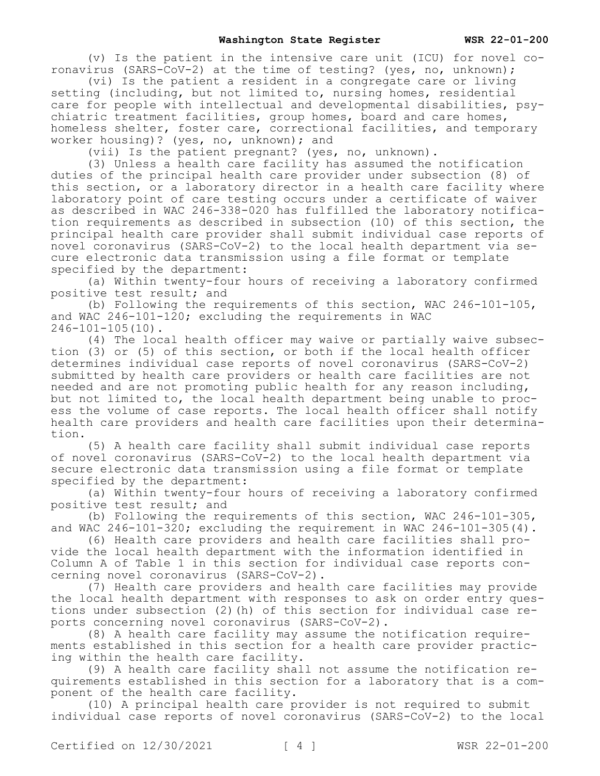(v) Is the patient in the intensive care unit (ICU) for novel coronavirus (SARS-CoV-2) at the time of testing? (yes, no, unknown);

(vi) Is the patient a resident in a congregate care or living setting (including, but not limited to, nursing homes, residential care for people with intellectual and developmental disabilities, psychiatric treatment facilities, group homes, board and care homes, homeless shelter, foster care, correctional facilities, and temporary worker housing)? (yes, no, unknown); and

(vii) Is the patient pregnant? (yes, no, unknown).

(3) Unless a health care facility has assumed the notification duties of the principal health care provider under subsection (8) of this section, or a laboratory director in a health care facility where laboratory point of care testing occurs under a certificate of waiver as described in WAC 246-338-020 has fulfilled the laboratory notification requirements as described in subsection (10) of this section, the principal health care provider shall submit individual case reports of novel coronavirus (SARS-CoV-2) to the local health department via secure electronic data transmission using a file format or template specified by the department:

(a) Within twenty-four hours of receiving a laboratory confirmed positive test result; and

(b) Following the requirements of this section, WAC 246-101-105, and WAC 246-101-120; excluding the requirements in WAC 246-101-105(10).

(4) The local health officer may waive or partially waive subsection (3) or (5) of this section, or both if the local health officer determines individual case reports of novel coronavirus (SARS-CoV-2) submitted by health care providers or health care facilities are not needed and are not promoting public health for any reason including, but not limited to, the local health department being unable to process the volume of case reports. The local health officer shall notify health care providers and health care facilities upon their determination.

(5) A health care facility shall submit individual case reports of novel coronavirus (SARS-CoV-2) to the local health department via secure electronic data transmission using a file format or template specified by the department:

(a) Within twenty-four hours of receiving a laboratory confirmed positive test result; and

(b) Following the requirements of this section, WAC 246-101-305, and WAC 246-101-320; excluding the requirement in WAC 246-101-305(4).

(6) Health care providers and health care facilities shall provide the local health department with the information identified in Column A of Table 1 in this section for individual case reports concerning novel coronavirus (SARS-CoV-2).

(7) Health care providers and health care facilities may provide the local health department with responses to ask on order entry questions under subsection (2)(h) of this section for individual case reports concerning novel coronavirus (SARS-CoV-2).

(8) A health care facility may assume the notification requirements established in this section for a health care provider practicing within the health care facility.

(9) A health care facility shall not assume the notification requirements established in this section for a laboratory that is a component of the health care facility.

(10) A principal health care provider is not required to submit individual case reports of novel coronavirus (SARS-CoV-2) to the local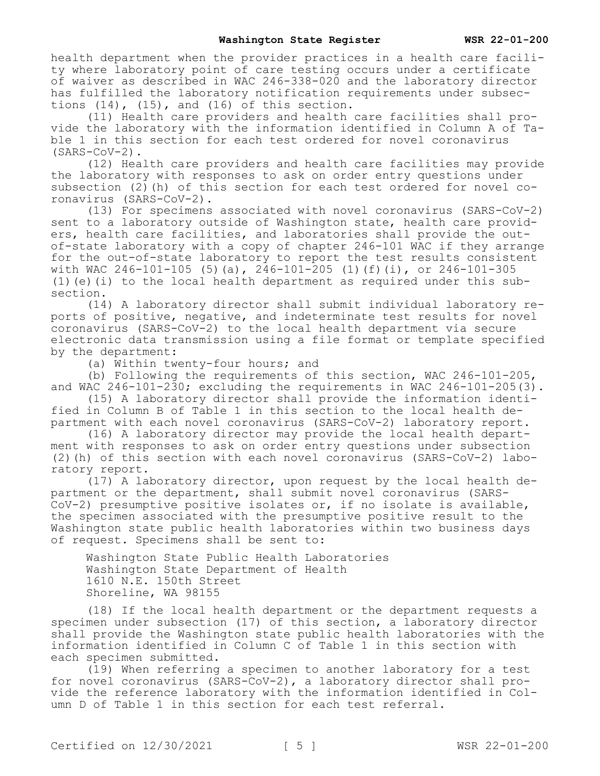health department when the provider practices in a health care facility where laboratory point of care testing occurs under a certificate of waiver as described in WAC 246-338-020 and the laboratory director has fulfilled the laboratory notification requirements under subsections  $(14)$ ,  $(15)$ , and  $(16)$  of this section.

(11) Health care providers and health care facilities shall provide the laboratory with the information identified in Column A of Table 1 in this section for each test ordered for novel coronavirus (SARS-CoV-2).

(12) Health care providers and health care facilities may provide the laboratory with responses to ask on order entry questions under subsection (2)(h) of this section for each test ordered for novel coronavirus (SARS-CoV-2).

(13) For specimens associated with novel coronavirus (SARS-CoV-2) sent to a laboratory outside of Washington state, health care providers, health care facilities, and laboratories shall provide the outof-state laboratory with a copy of chapter 246-101 WAC if they arrange for the out-of-state laboratory to report the test results consistent with WAC 246-101-105 (5)(a),  $246-101-205$  (1)(f)(i), or 246-101-305 (1)(e)(i) to the local health department as required under this  $sub$ section.

(14) A laboratory director shall submit individual laboratory reports of positive, negative, and indeterminate test results for novel coronavirus (SARS-CoV-2) to the local health department via secure electronic data transmission using a file format or template specified by the department:

(a) Within twenty-four hours; and

(b) Following the requirements of this section, WAC 246-101-205, and WAC  $246-101-230$ ; excluding the requirements in WAC  $246-101-205(3)$ .

(15) A laboratory director shall provide the information identified in Column B of Table 1 in this section to the local health department with each novel coronavirus (SARS-CoV-2) laboratory report.

(16) A laboratory director may provide the local health department with responses to ask on order entry questions under subsection (2)(h) of this section with each novel coronavirus (SARS-CoV-2) laboratory report.

 $(17)$  A laboratory director, upon request by the local health department or the department, shall submit novel coronavirus (SARS-CoV-2) presumptive positive isolates or, if no isolate is available, the specimen associated with the presumptive positive result to the Washington state public health laboratories within two business days of request. Specimens shall be sent to:

Washington State Public Health Laboratories Washington State Department of Health 1610 N.E. 150th Street Shoreline, WA 98155

(18) If the local health department or the department requests a specimen under subsection (17) of this section, a laboratory director shall provide the Washington state public health laboratories with the information identified in Column C of Table 1 in this section with each specimen submitted.

(19) When referring a specimen to another laboratory for a test for novel coronavirus (SARS-CoV-2), a laboratory director shall provide the reference laboratory with the information identified in Column D of Table 1 in this section for each test referral.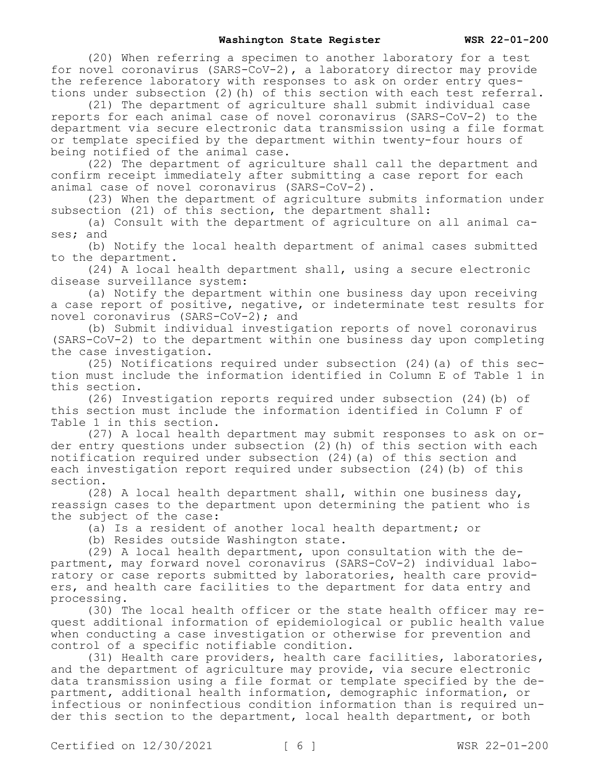(20) When referring a specimen to another laboratory for a test for novel coronavirus (SARS-CoV-2), a laboratory director may provide the reference laboratory with responses to ask on order entry questions under subsection (2) (h) of this section with each test referral.

(21) The department of agriculture shall submit individual case reports for each animal case of novel coronavirus (SARS-CoV-2) to the department via secure electronic data transmission using a file format or template specified by the department within twenty-four hours of being notified of the animal case.

(22) The department of agriculture shall call the department and confirm receipt immediately after submitting a case report for each animal case of novel coronavirus (SARS-CoV-2).

(23) When the department of agriculture submits information under subsection (21) of this section, the department shall:

(a) Consult with the department of agriculture on all animal cases; and

(b) Notify the local health department of animal cases submitted to the department.

(24) A local health department shall, using a secure electronic disease surveillance system:

(a) Notify the department within one business day upon receiving a case report of positive, negative, or indeterminate test results for novel coronavirus (SARS-CoV-2); and

(b) Submit individual investigation reports of novel coronavirus (SARS-CoV-2) to the department within one business day upon completing the case investigation.

(25) Notifications required under subsection (24)(a) of this section must include the information identified in Column E of Table 1 in this section.

(26) Investigation reports required under subsection (24)(b) of this section must include the information identified in Column F of Table 1 in this section.

(27) A local health department may submit responses to ask on order entry questions under subsection (2)(h) of this section with each notification required under subsection (24)(a) of this section and each investigation report required under subsection (24)(b) of this section.

(28) A local health department shall, within one business day, reassign cases to the department upon determining the patient who is the subject of the case:

(a) Is a resident of another local health department; or

(b) Resides outside Washington state.

(29) A local health department, upon consultation with the department, may forward novel coronavirus (SARS-CoV-2) individual laboratory or case reports submitted by laboratories, health care providers, and health care facilities to the department for data entry and processing.

(30) The local health officer or the state health officer may request additional information of epidemiological or public health value when conducting a case investigation or otherwise for prevention and control of a specific notifiable condition.

(31) Health care providers, health care facilities, laboratories, and the department of agriculture may provide, via secure electronic data transmission using a file format or template specified by the department, additional health information, demographic information, or infectious or noninfectious condition information than is required under this section to the department, local health department, or both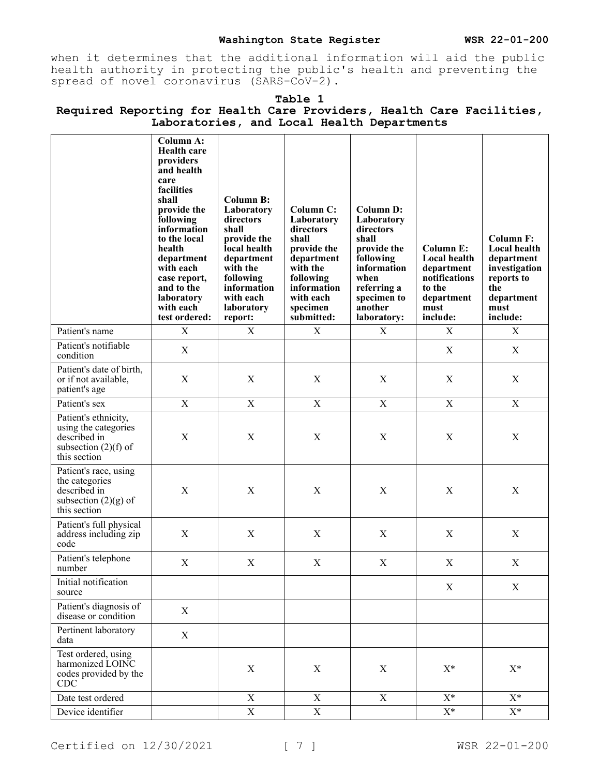when it determines that the additional information will aid the public health authority in protecting the public's health and preventing the spread of novel coronavirus (SARS-CoV-2).

| <u>and local nealen bep</u>                                                                            |                                                                                                                                                                                                                                                                            |                                                                                                                                                                                 |                                                                                                                                                           |                                                                                                                                                                 |                                                                                                      |                                                                                                                               |  |  |
|--------------------------------------------------------------------------------------------------------|----------------------------------------------------------------------------------------------------------------------------------------------------------------------------------------------------------------------------------------------------------------------------|---------------------------------------------------------------------------------------------------------------------------------------------------------------------------------|-----------------------------------------------------------------------------------------------------------------------------------------------------------|-----------------------------------------------------------------------------------------------------------------------------------------------------------------|------------------------------------------------------------------------------------------------------|-------------------------------------------------------------------------------------------------------------------------------|--|--|
|                                                                                                        | <b>Column A:</b><br><b>Health care</b><br>providers<br>and health<br>care<br>facilities<br>shall<br>provide the<br>following<br>information<br>to the local<br>health<br>department<br>with each<br>case report,<br>and to the<br>laboratory<br>with each<br>test ordered: | <b>Column B:</b><br>Laboratory<br>directors<br>shall<br>provide the<br>local health<br>department<br>with the<br>following<br>information<br>with each<br>laboratory<br>report: | Column C:<br>Laboratory<br>directors<br>shall<br>provide the<br>department<br>with the<br>following<br>information<br>with each<br>specimen<br>submitted: | <b>Column D:</b><br>Laboratory<br>directors<br>shall<br>provide the<br>following<br>information<br>when<br>referring a<br>specimen to<br>another<br>laboratory: | Column E:<br>Local health<br>department<br>notifications<br>to the<br>department<br>must<br>include: | <b>Column F:</b><br><b>Local health</b><br>department<br>investigation<br>reports to<br>the<br>department<br>must<br>include: |  |  |
| Patient's name                                                                                         | $\mathbf X$                                                                                                                                                                                                                                                                | X                                                                                                                                                                               | X                                                                                                                                                         | X                                                                                                                                                               | X                                                                                                    | X                                                                                                                             |  |  |
| Patient's notifiable<br>condition                                                                      | X                                                                                                                                                                                                                                                                          |                                                                                                                                                                                 |                                                                                                                                                           |                                                                                                                                                                 | X                                                                                                    | X                                                                                                                             |  |  |
| Patient's date of birth,<br>or if not available,<br>patient's age                                      | $\mathbf X$                                                                                                                                                                                                                                                                | X                                                                                                                                                                               | $\mathbf X$                                                                                                                                               | $\mathbf X$                                                                                                                                                     | $\mathbf X$                                                                                          | $\mathbf X$                                                                                                                   |  |  |
| Patient's sex                                                                                          | $\mathbf X$                                                                                                                                                                                                                                                                | $\mathbf X$                                                                                                                                                                     | $\mathbf X$                                                                                                                                               | $\mathbf X$                                                                                                                                                     | $\mathbf X$                                                                                          | $\mathbf X$                                                                                                                   |  |  |
| Patient's ethnicity,<br>using the categories<br>described in<br>subsection $(2)(f)$ of<br>this section | X                                                                                                                                                                                                                                                                          | X                                                                                                                                                                               | X                                                                                                                                                         | X                                                                                                                                                               | X                                                                                                    | X                                                                                                                             |  |  |
| Patient's race, using<br>the categories<br>described in<br>subsection $(2)(g)$ of<br>this section      | X                                                                                                                                                                                                                                                                          | X                                                                                                                                                                               | X                                                                                                                                                         | X                                                                                                                                                               | X                                                                                                    | X                                                                                                                             |  |  |
| Patient's full physical<br>address including zip<br>code                                               | X                                                                                                                                                                                                                                                                          | X                                                                                                                                                                               | X                                                                                                                                                         | $\mathbf X$                                                                                                                                                     | $\mathbf X$                                                                                          | X                                                                                                                             |  |  |
| Patient's telephone<br>number                                                                          | X                                                                                                                                                                                                                                                                          | X                                                                                                                                                                               | X                                                                                                                                                         | X                                                                                                                                                               | X                                                                                                    | $\mathbf X$                                                                                                                   |  |  |
| Initial notification<br>source                                                                         |                                                                                                                                                                                                                                                                            |                                                                                                                                                                                 |                                                                                                                                                           |                                                                                                                                                                 | $\mathbf X$                                                                                          | $\mathbf X$                                                                                                                   |  |  |
| Patient's diagnosis of<br>disease or condition                                                         | $\mathbf X$                                                                                                                                                                                                                                                                |                                                                                                                                                                                 |                                                                                                                                                           |                                                                                                                                                                 |                                                                                                      |                                                                                                                               |  |  |
| Pertinent laboratory<br>data                                                                           | $\mathbf X$                                                                                                                                                                                                                                                                |                                                                                                                                                                                 |                                                                                                                                                           |                                                                                                                                                                 |                                                                                                      |                                                                                                                               |  |  |
| Test ordered, using<br>harmonized LOINC<br>codes provided by the<br>CDC                                |                                                                                                                                                                                                                                                                            | $\mathbf X$                                                                                                                                                                     | $\mathbf X$                                                                                                                                               | $\mathbf X$                                                                                                                                                     | $X^*$                                                                                                | $X^*$                                                                                                                         |  |  |
| Date test ordered                                                                                      |                                                                                                                                                                                                                                                                            | X                                                                                                                                                                               | X                                                                                                                                                         | $\mathbf X$                                                                                                                                                     | $X^*$                                                                                                | $X^*$                                                                                                                         |  |  |
| Device identifier                                                                                      |                                                                                                                                                                                                                                                                            | $\mathbf X$                                                                                                                                                                     | $\mathbf X$                                                                                                                                               |                                                                                                                                                                 | $X^*$                                                                                                | $\mathbf{X}^*$                                                                                                                |  |  |

### **Table 1 Required Reporting for Health Care Providers, Health Care Facilities, Laboratories, and Local Health Departments**

Certified on  $12/30/2021$  [ 7 ] WSR 22-01-200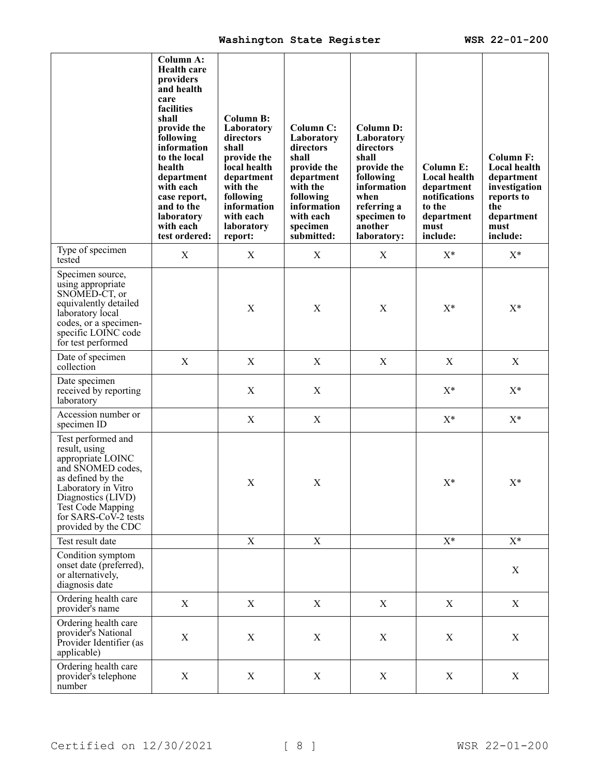|                                                                                                                                                                                                                            | <b>Column A:</b><br><b>Health care</b><br>providers<br>and health<br>care<br>facilities<br>shall<br>provide the<br>following<br>information<br>to the local<br>health<br>department<br>with each<br>case report,<br>and to the<br>laboratory<br>with each<br>test ordered: | <b>Column B:</b><br>Laboratory<br>directors<br>shall<br>provide the<br>local health<br>department<br>with the<br>following<br>information<br>with each<br>laboratory<br>report: | Column C:<br>Laboratory<br>directors<br>shall<br>provide the<br>department<br>with the<br>following<br>information<br>with each<br>specimen<br>submitted: | <b>Column D:</b><br>Laboratory<br>directors<br>shall<br>provide the<br>following<br>information<br>when<br>referring a<br>specimen to<br>another<br>laboratory: | <b>Column E:</b><br>Local health<br>department<br>notifications<br>to the<br>department<br>must<br>include: | <b>Column F:</b><br>Local health<br>department<br>investigation<br>reports to<br>the<br>department<br>must<br>include: |
|----------------------------------------------------------------------------------------------------------------------------------------------------------------------------------------------------------------------------|----------------------------------------------------------------------------------------------------------------------------------------------------------------------------------------------------------------------------------------------------------------------------|---------------------------------------------------------------------------------------------------------------------------------------------------------------------------------|-----------------------------------------------------------------------------------------------------------------------------------------------------------|-----------------------------------------------------------------------------------------------------------------------------------------------------------------|-------------------------------------------------------------------------------------------------------------|------------------------------------------------------------------------------------------------------------------------|
| Type of specimen<br>tested                                                                                                                                                                                                 | X                                                                                                                                                                                                                                                                          | X                                                                                                                                                                               | X                                                                                                                                                         | X                                                                                                                                                               | $X^*$                                                                                                       | $X^*$                                                                                                                  |
| Specimen source,<br>using appropriate<br>SNOMED-CT, or<br>equivalently detailed<br>laboratory local<br>codes, or a specimen-<br>specific LOINC code<br>for test performed                                                  |                                                                                                                                                                                                                                                                            | $\mathbf X$                                                                                                                                                                     | $\mathbf X$                                                                                                                                               | $\mathbf X$                                                                                                                                                     | $X^*$                                                                                                       | $X^*$                                                                                                                  |
| Date of specimen<br>collection                                                                                                                                                                                             | $\mathbf X$                                                                                                                                                                                                                                                                | X                                                                                                                                                                               | X                                                                                                                                                         | X                                                                                                                                                               | X                                                                                                           | X                                                                                                                      |
| Date specimen<br>received by reporting<br>laboratory                                                                                                                                                                       |                                                                                                                                                                                                                                                                            | $\mathbf X$                                                                                                                                                                     | $\boldsymbol{\mathrm{X}}$                                                                                                                                 |                                                                                                                                                                 | $X^*$                                                                                                       | $X^*$                                                                                                                  |
| Accession number or<br>specimen ID                                                                                                                                                                                         |                                                                                                                                                                                                                                                                            | X                                                                                                                                                                               | X                                                                                                                                                         |                                                                                                                                                                 | $X^*$                                                                                                       | $X^*$                                                                                                                  |
| Test performed and<br>result, using<br>appropriate LOINC<br>and SNOMED codes,<br>as defined by the<br>Laboratory in Vitro<br>Diagnostics (LIVD)<br><b>Test Code Mapping</b><br>for SARS-CoV-2 tests<br>provided by the CDC |                                                                                                                                                                                                                                                                            | $\mathbf X$                                                                                                                                                                     | $\mathbf X$                                                                                                                                               |                                                                                                                                                                 | $X^*$                                                                                                       | $X^*$                                                                                                                  |
| Test result date                                                                                                                                                                                                           |                                                                                                                                                                                                                                                                            | X                                                                                                                                                                               | X                                                                                                                                                         |                                                                                                                                                                 | $X^*$                                                                                                       | $X^*$                                                                                                                  |
| Condition symptom<br>onset date (preferred),<br>or alternatively,<br>diagnosis date                                                                                                                                        |                                                                                                                                                                                                                                                                            |                                                                                                                                                                                 |                                                                                                                                                           |                                                                                                                                                                 |                                                                                                             | X                                                                                                                      |
| Ordering health care<br>provider's name                                                                                                                                                                                    | X                                                                                                                                                                                                                                                                          | X                                                                                                                                                                               | X                                                                                                                                                         | X                                                                                                                                                               | $\mathbf X$                                                                                                 | $\boldsymbol{X}$                                                                                                       |
| Ordering health care<br>provider's National<br>Provider Identifier (as<br>applicable)                                                                                                                                      | X                                                                                                                                                                                                                                                                          | X                                                                                                                                                                               | X                                                                                                                                                         | X                                                                                                                                                               | X                                                                                                           | $\mathbf X$                                                                                                            |
| Ordering health care<br>provider's telephone<br>number                                                                                                                                                                     | X                                                                                                                                                                                                                                                                          | $\boldsymbol{\mathrm{X}}$                                                                                                                                                       | X                                                                                                                                                         | X                                                                                                                                                               | $\mathbf X$                                                                                                 | $\mathbf X$                                                                                                            |